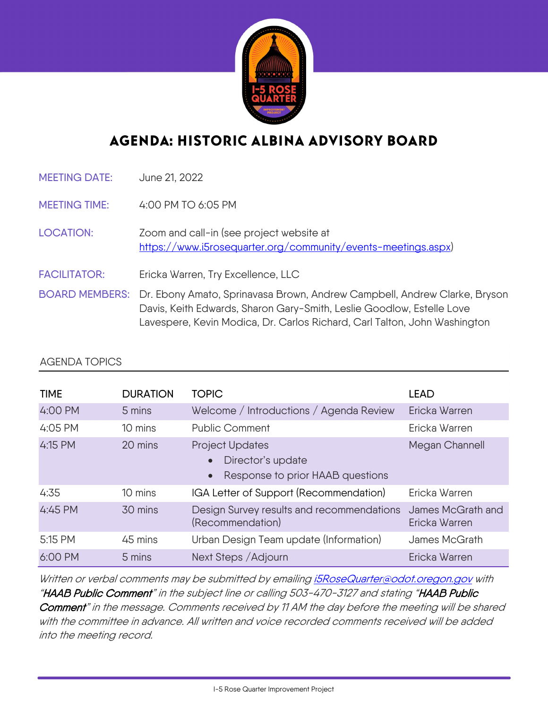

## AGENDA: HISTORIC ALBINA ADVISORY BOARD

MEETING DATE: June 21, 2022

MEETING TIME: 4:00 PM TO 6:05 PM

LOCATION: Zoom and call-in (see project website at [https://www.i5rosequarter.org/community/events-meetings.aspx\)](https://www.i5rosequarter.org/community/events-meetings.aspx)

FACILITATOR: Ericka Warren, Try Excellence, LLC

BOARD MEMBERS: Dr. Ebony Amato, Sprinavasa Brown, Andrew Campbell, Andrew Clarke, Bryson Davis, Keith Edwards, Sharon Gary-Smith, Leslie Goodlow, Estelle Love Lavespere, Kevin Modica, Dr. Carlos Richard, Carl Talton, John Washington

## AGENDA TOPICS

| <b>TIME</b> | <b>DURATION</b> | <b>TOPIC</b>                                                                          | <b>LEAD</b>                        |
|-------------|-----------------|---------------------------------------------------------------------------------------|------------------------------------|
| 4:00 PM     | 5 mins          | Welcome / Introductions / Agenda Review                                               | Ericka Warren                      |
| 4:05 PM     | 10 mins         | <b>Public Comment</b>                                                                 | Ericka Warren                      |
| 4:15 PM     | 20 mins         | Project Updates<br>Director's update<br>Response to prior HAAB questions<br>$\bullet$ | Megan Channell                     |
| 4:35        | 10 mins         | IGA Letter of Support (Recommendation)                                                | Ericka Warren                      |
| 4:45 PM     | 30 mins         | Design Survey results and recommendations<br>(Recommendation)                         | James McGrath and<br>Ericka Warren |
| 5:15 PM     | 45 mins         | Urban Design Team update (Information)                                                | James McGrath                      |
| 6:00 PM     | 5 mins          | Next Steps / Adjourn                                                                  | Ericka Warren                      |

Written or verbal comments may be submitted by emailing *i5RoseQuarter@odot.oregon.gov* with "HAAB Public Comment" in the subject line or calling 503-470-3127 and stating "HAAB Public Comment" in the message. Comments received by 11 AM the day before the meeting will be shared with the committee in advance. All written and voice recorded comments received will be added into the meeting record.